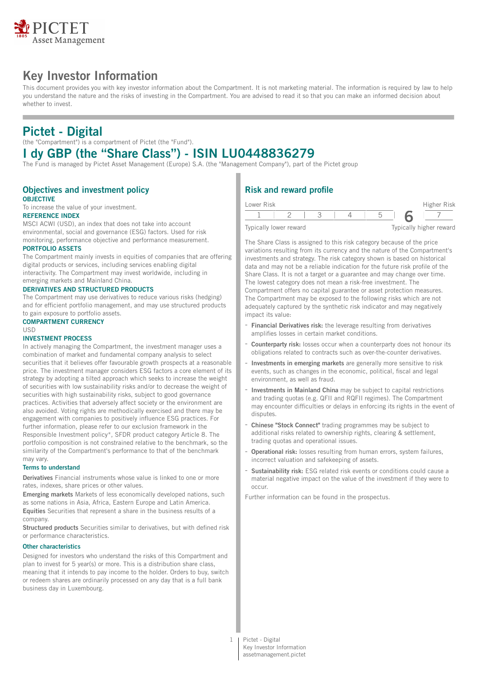

# **Key Investor Information**

This document provides you with key investor information about the Compartment. It is not marketing material. The information is required by law to help you understand the nature and the risks of investing in the Compartment. You are advised to read it so that you can make an informed decision about whether to invest.

# **Pictet - Digital**

(the "Compartment") is a compartment of Pictet (the "Fund").

# **I dy GBP (the "Share Class") - ISIN LU0448836279**

The Fund is managed by Pictet Asset Management (Europe) S.A. (the "Management Company"), part of the Pictet group

#### **Objectives and investment policy OBJECTIVE**

To increase the value of your investment.

## **REFERENCE INDEX**

MSCI ACWI (USD), an index that does not take into account environmental, social and governance (ESG) factors. Used for risk monitoring, performance objective and performance measurement.

#### **PORTFOLIO ASSETS**

The Compartment mainly invests in equities of companies that are offering digital products or services, including services enabling digital interactivity. The Compartment may invest worldwide, including in emerging markets and Mainland China.

#### **DERIVATIVES AND STRUCTURED PRODUCTS**

The Compartment may use derivatives to reduce various risks (hedging) and for efficient portfolio management, and may use structured products to gain exposure to portfolio assets.

### **COMPARTMENT CURRENCY**

### USD

### **INVESTMENT PROCESS**

In actively managing the Compartment, the investment manager uses a combination of market and fundamental company analysis to select securities that it believes offer favourable growth prospects at a reasonable price. The investment manager considers ESG factors a core element of its strategy by adopting a tilted approach which seeks to increase the weight of securities with low sustainability risks and/or to decrease the weight of securities with high sustainability risks, subject to good governance practices. Activities that adversely affect society or the environment are also avoided. Voting rights are methodically exercised and there may be engagement with companies to positively influence ESG practices. For further information, please refer to our exclusion framework in the Responsible Investment policy\*, SFDR product category Article 8. The portfolio composition is not constrained relative to the benchmark, so the similarity of the Compartment's performance to that of the benchmark may vary.

#### **Terms to understand**

**Derivatives** Financial instruments whose value is linked to one or more rates, indexes, share prices or other values.

**Emerging markets** Markets of less economically developed nations, such as some nations in Asia, Africa, Eastern Europe and Latin America. **Equities** Securities that represent a share in the business results of a company.

**Structured products** Securities similar to derivatives, but with defined risk or performance characteristics.

#### **Other characteristics**

Designed for investors who understand the risks of this Compartment and plan to invest for 5 year(s) or more. This is a distribution share class, meaning that it intends to pay income to the holder. Orders to buy, switch or redeem shares are ordinarily processed on any day that is a full bank business day in Luxembourg.

## **Risk and reward profile**

| Lower Risk             |  |  |                         | Higher Risk |
|------------------------|--|--|-------------------------|-------------|
|                        |  |  |                         |             |
| Typically lower reward |  |  | Typically higher reward |             |

The Share Class is assigned to this risk category because of the price variations resulting from its currency and the nature of the Compartment's investments and strategy. The risk category shown is based on historical data and may not be a reliable indication for the future risk profile of the Share Class. It is not a target or a guarantee and may change over time. The lowest category does not mean a risk-free investment. The Compartment offers no capital guarantee or asset protection measures. The Compartment may be exposed to the following risks which are not adequately captured by the synthetic risk indicator and may negatively impact its value:

- **Financial Derivatives risk:** the leverage resulting from derivatives amplifies losses in certain market conditions.
- Counterparty risk: losses occur when a counterparty does not honour its obligations related to contracts such as over-the-counter derivatives.
- **Investments in emerging markets** are generally more sensitive to risk events, such as changes in the economic, political, fiscal and legal environment, as well as fraud.
- **Investments in Mainland China** may be subject to capital restrictions and trading quotas (e.g. QFII and RQFII regimes). The Compartment may encounter difficulties or delays in enforcing its rights in the event of disputes.
- **Chinese "Stock Connect"** trading programmes may be subject to additional risks related to ownership rights, clearing & settlement, trading quotas and operational issues.
- **Operational risk:** losses resulting from human errors, system failures, incorrect valuation and safekeeping of assets.
- **Sustainability risk:** ESG related risk events or conditions could cause a material negative impact on the value of the investment if they were to occur.

Further information can be found in the prospectus.